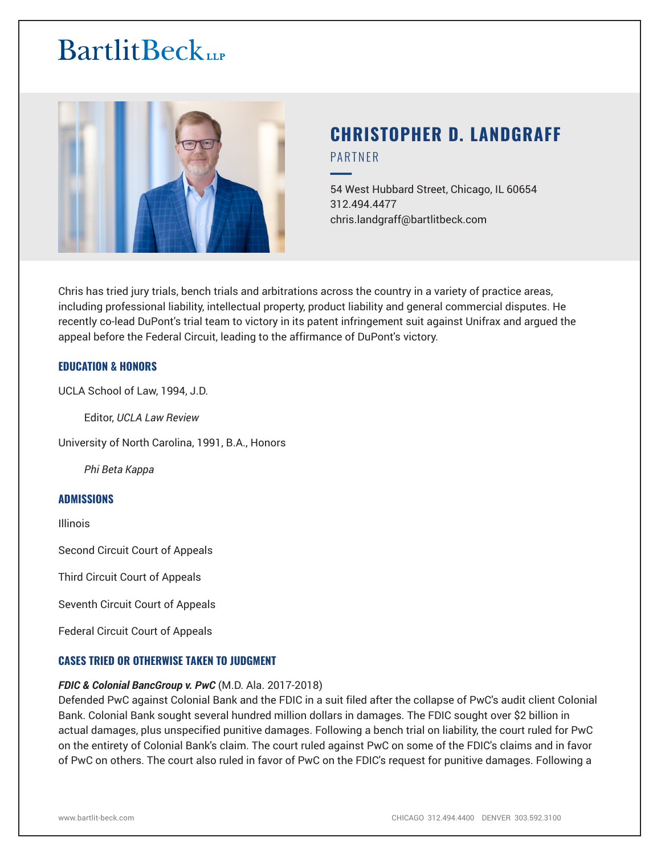

# **CHRISTOPHER D. LANDGRAFF** PARTNER

54 West Hubbard Street, Chicago, IL 60654 312.494.4477 chris.landgraff@bartlitbeck.com

Chris has tried jury trials, bench trials and arbitrations across the country in a variety of practice areas, including professional liability, intellectual property, product liability and general commercial disputes. He recently co-lead DuPont's trial team to victory in its patent infringement suit against Unifrax and argued the appeal before the Federal Circuit, leading to the affirmance of DuPont's victory.

#### **EDUCATION & HONORS**

UCLA School of Law, 1994, J.D.

Editor, *UCLA Law Review*

University of North Carolina, 1991, B.A., Honors

*Phi Beta Kappa*

#### **ADMISSIONS**

Illinois

Second Circuit Court of Appeals

Third Circuit Court of Appeals

Seventh Circuit Court of Appeals

Federal Circuit Court of Appeals

#### **CASES TRIED OR OTHERWISE TAKEN TO JUDGMENT**

#### *FDIC & Colonial BancGroup v. PwC* (M.D. Ala. 2017-2018)

Defended PwC against Colonial Bank and the FDIC in a suit filed after the collapse of PwC's audit client Colonial Bank. Colonial Bank sought several hundred million dollars in damages. The FDIC sought over \$2 billion in actual damages, plus unspecified punitive damages. Following a bench trial on liability, the court ruled for PwC on the entirety of Colonial Bank's claim. The court ruled against PwC on some of the FDIC's claims and in favor of PwC on others. The court also ruled in favor of PwC on the FDIC's request for punitive damages. Following a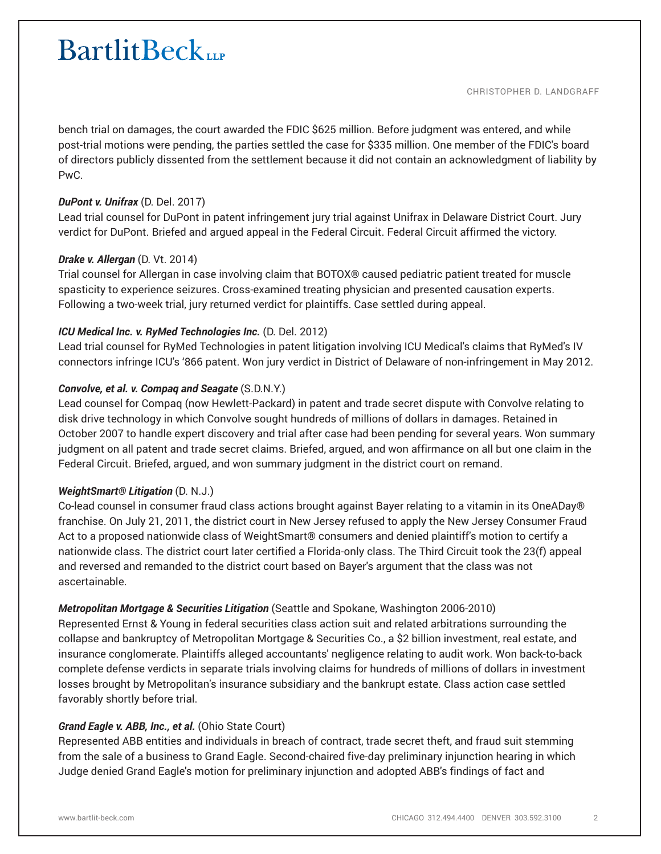#### CHRISTOPHER D. LANDGRAFF

bench trial on damages, the court awarded the FDIC \$625 million. Before judgment was entered, and while post-trial motions were pending, the parties settled the case for \$335 million. One member of the FDIC's board of directors publicly dissented from the settlement because it did not contain an acknowledgment of liability by PwC.

#### *DuPont v. Unifrax* (D. Del. 2017)

Lead trial counsel for DuPont in patent infringement jury trial against Unifrax in Delaware District Court. Jury verdict for DuPont. Briefed and argued appeal in the Federal Circuit. Federal Circuit affirmed the victory.

### *Drake v. Allergan* (D. Vt. 2014)

Trial counsel for Allergan in case involving claim that BOTOX® caused pediatric patient treated for muscle spasticity to experience seizures. Cross-examined treating physician and presented causation experts. Following a two-week trial, jury returned verdict for plaintiffs. Case settled during appeal.

### *ICU Medical Inc. v. RyMed Technologies Inc.* (D. Del. 2012)

Lead trial counsel for RyMed Technologies in patent litigation involving ICU Medical's claims that RyMed's IV connectors infringe ICU's '866 patent. Won jury verdict in District of Delaware of non-infringement in May 2012.

## *Convolve, et al. v. Compaq and Seagate* (S.D.N.Y.)

Lead counsel for Compaq (now Hewlett-Packard) in patent and trade secret dispute with Convolve relating to disk drive technology in which Convolve sought hundreds of millions of dollars in damages. Retained in October 2007 to handle expert discovery and trial after case had been pending for several years. Won summary judgment on all patent and trade secret claims. Briefed, argued, and won affirmance on all but one claim in the Federal Circuit. Briefed, argued, and won summary judgment in the district court on remand.

#### *WeightSmart® Litigation* (D. N.J.)

Co-lead counsel in consumer fraud class actions brought against Bayer relating to a vitamin in its OneADay® franchise. On July 21, 2011, the district court in New Jersey refused to apply the New Jersey Consumer Fraud Act to a proposed nationwide class of WeightSmart® consumers and denied plaintiff's motion to certify a nationwide class. The district court later certified a Florida-only class. The Third Circuit took the 23(f) appeal and reversed and remanded to the district court based on Bayer's argument that the class was not ascertainable.

## *Metropolitan Mortgage & Securities Litigation* (Seattle and Spokane, Washington 2006-2010)

Represented Ernst & Young in federal securities class action suit and related arbitrations surrounding the collapse and bankruptcy of Metropolitan Mortgage & Securities Co., a \$2 billion investment, real estate, and insurance conglomerate. Plaintiffs alleged accountants' negligence relating to audit work. Won back-to-back complete defense verdicts in separate trials involving claims for hundreds of millions of dollars in investment losses brought by Metropolitan's insurance subsidiary and the bankrupt estate. Class action case settled favorably shortly before trial.

## *Grand Eagle v. ABB, Inc., et al.* (Ohio State Court)

Represented ABB entities and individuals in breach of contract, trade secret theft, and fraud suit stemming from the sale of a business to Grand Eagle. Second-chaired five-day preliminary injunction hearing in which Judge denied Grand Eagle's motion for preliminary injunction and adopted ABB's findings of fact and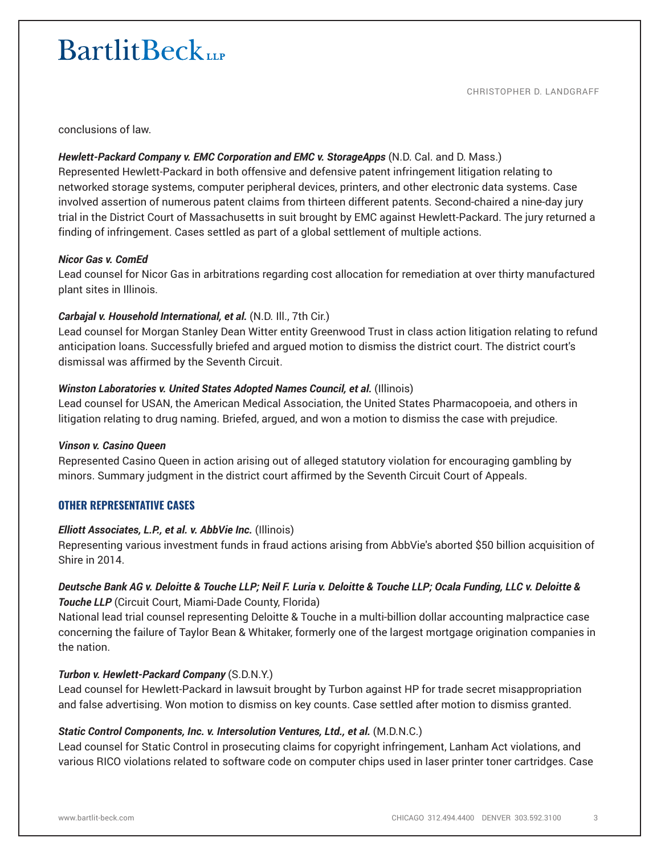conclusions of law.

### *Hewlett-Packard Company v. EMC Corporation and EMC v. StorageApps* (N.D. Cal. and D. Mass.)

Represented Hewlett-Packard in both offensive and defensive patent infringement litigation relating to networked storage systems, computer peripheral devices, printers, and other electronic data systems. Case involved assertion of numerous patent claims from thirteen different patents. Second-chaired a nine-day jury trial in the District Court of Massachusetts in suit brought by EMC against Hewlett-Packard. The jury returned a finding of infringement. Cases settled as part of a global settlement of multiple actions.

#### *Nicor Gas v. ComEd*

Lead counsel for Nicor Gas in arbitrations regarding cost allocation for remediation at over thirty manufactured plant sites in Illinois.

### *Carbajal v. Household International, et al.* (N.D. Ill., 7th Cir.)

Lead counsel for Morgan Stanley Dean Witter entity Greenwood Trust in class action litigation relating to refund anticipation loans. Successfully briefed and argued motion to dismiss the district court. The district court's dismissal was affirmed by the Seventh Circuit.

### **Winston Laboratories v. United States Adopted Names Council, et al. (Illinois)**

Lead counsel for USAN, the American Medical Association, the United States Pharmacopoeia, and others in litigation relating to drug naming. Briefed, argued, and won a motion to dismiss the case with prejudice.

#### *Vinson v. Casino Queen*

Represented Casino Queen in action arising out of alleged statutory violation for encouraging gambling by minors. Summary judgment in the district court affirmed by the Seventh Circuit Court of Appeals.

#### **OTHER REPRESENTATIVE CASES**

#### *Elliott Associates, L.P., et al. v. AbbVie Inc.* (Illinois)

Representing various investment funds in fraud actions arising from AbbVie's aborted \$50 billion acquisition of Shire in 2014.

### *Deutsche Bank AG v. Deloitte & Touche LLP; Neil F. Luria v. Deloitte & Touche LLP; Ocala Funding, LLC v. Deloitte & Touche LLP* (Circuit Court, Miami-Dade County, Florida)

National lead trial counsel representing Deloitte & Touche in a multi-billion dollar accounting malpractice case concerning the failure of Taylor Bean & Whitaker, formerly one of the largest mortgage origination companies in the nation.

#### *Turbon v. Hewlett-Packard Company* (S.D.N.Y.)

Lead counsel for Hewlett-Packard in lawsuit brought by Turbon against HP for trade secret misappropriation and false advertising. Won motion to dismiss on key counts. Case settled after motion to dismiss granted.

#### *Static Control Components, Inc. v. Intersolution Ventures, Ltd., et al.* (M.D.N.C.)

Lead counsel for Static Control in prosecuting claims for copyright infringement, Lanham Act violations, and various RICO violations related to software code on computer chips used in laser printer toner cartridges. Case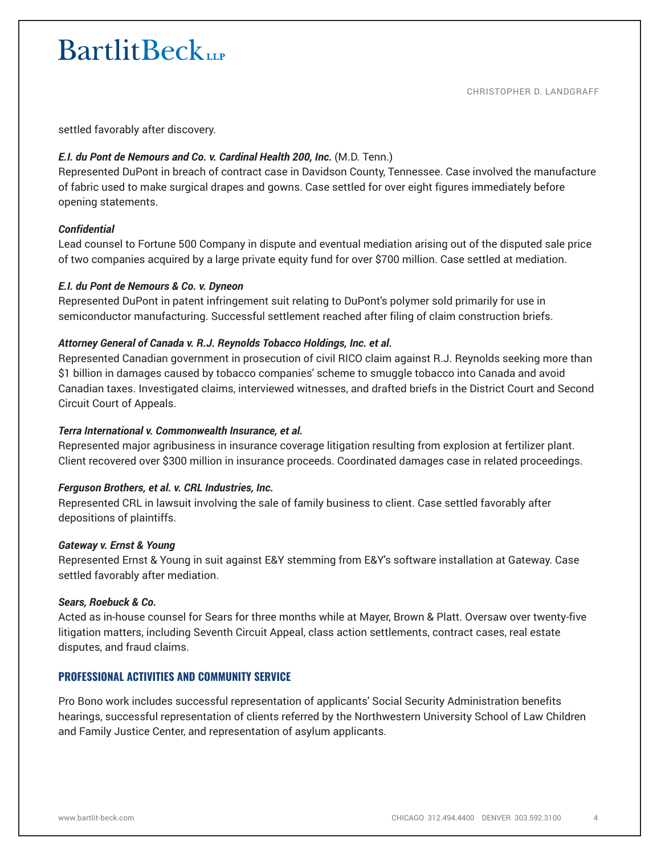settled favorably after discovery.

### *E.I. du Pont de Nemours and Co. v. Cardinal Health 200, Inc.* (M.D. Tenn.)

Represented DuPont in breach of contract case in Davidson County, Tennessee. Case involved the manufacture of fabric used to make surgical drapes and gowns. Case settled for over eight figures immediately before opening statements.

### *Confidential*

Lead counsel to Fortune 500 Company in dispute and eventual mediation arising out of the disputed sale price of two companies acquired by a large private equity fund for over \$700 million. Case settled at mediation.

#### *E.I. du Pont de Nemours & Co. v. Dyneon*

Represented DuPont in patent infringement suit relating to DuPont's polymer sold primarily for use in semiconductor manufacturing. Successful settlement reached after filing of claim construction briefs.

#### *Attorney General of Canada v. R.J. Reynolds Tobacco Holdings, Inc. et al.*

Represented Canadian government in prosecution of civil RICO claim against R.J. Reynolds seeking more than \$1 billion in damages caused by tobacco companies' scheme to smuggle tobacco into Canada and avoid Canadian taxes. Investigated claims, interviewed witnesses, and drafted briefs in the District Court and Second Circuit Court of Appeals.

#### *Terra International v. Commonwealth Insurance, et al.*

Represented major agribusiness in insurance coverage litigation resulting from explosion at fertilizer plant. Client recovered over \$300 million in insurance proceeds. Coordinated damages case in related proceedings.

#### *Ferguson Brothers, et al. v. CRL Industries, Inc.*

Represented CRL in lawsuit involving the sale of family business to client. Case settled favorably after depositions of plaintiffs.

#### *Gateway v. Ernst & Young*

Represented Ernst & Young in suit against E&Y stemming from E&Y's software installation at Gateway. Case settled favorably after mediation.

#### *Sears, Roebuck & Co.*

Acted as in-house counsel for Sears for three months while at Mayer, Brown & Platt. Oversaw over twenty-five litigation matters, including Seventh Circuit Appeal, class action settlements, contract cases, real estate disputes, and fraud claims.

#### **PROFESSIONAL ACTIVITIES AND COMMUNITY SERVICE**

Pro Bono work includes successful representation of applicants' Social Security Administration benefits hearings, successful representation of clients referred by the Northwestern University School of Law Children and Family Justice Center, and representation of asylum applicants.